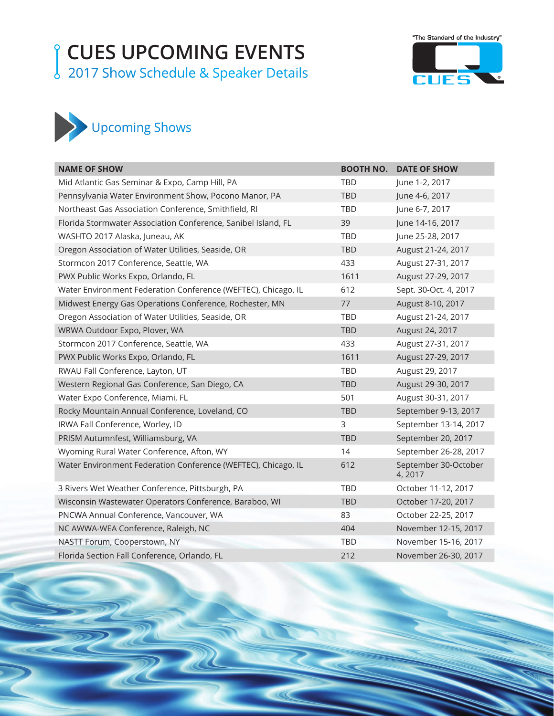## **CUES UPCOMING EVENTS**

2017 Show Schedule & Speaker Details





| <b>NAME OF SHOW</b>                                           | <b>BOOTH NO.</b> | <b>DATE OF SHOW</b>             |
|---------------------------------------------------------------|------------------|---------------------------------|
| Mid Atlantic Gas Seminar & Expo, Camp Hill, PA                | <b>TBD</b>       | June 1-2, 2017                  |
| Pennsylvania Water Environment Show, Pocono Manor, PA         | <b>TBD</b>       | June 4-6, 2017                  |
| Northeast Gas Association Conference, Smithfield, RI          | <b>TBD</b>       | June 6-7, 2017                  |
| Florida Stormwater Association Conference, Sanibel Island, FL | 39               | June 14-16, 2017                |
| WASHTO 2017 Alaska, Juneau, AK                                | <b>TBD</b>       | June 25-28, 2017                |
| Oregon Association of Water Utilities, Seaside, OR            | <b>TBD</b>       | August 21-24, 2017              |
| Stormcon 2017 Conference, Seattle, WA                         | 433              | August 27-31, 2017              |
| PWX Public Works Expo, Orlando, FL                            | 1611             | August 27-29, 2017              |
| Water Environment Federation Conference (WEFTEC), Chicago, IL | 612              | Sept. 30-Oct. 4, 2017           |
| Midwest Energy Gas Operations Conference, Rochester, MN       | 77               | August 8-10, 2017               |
| Oregon Association of Water Utilities, Seaside, OR            | <b>TBD</b>       | August 21-24, 2017              |
| WRWA Outdoor Expo, Plover, WA                                 | <b>TBD</b>       | August 24, 2017                 |
| Stormcon 2017 Conference, Seattle, WA                         | 433              | August 27-31, 2017              |
| PWX Public Works Expo, Orlando, FL                            | 1611             | August 27-29, 2017              |
| RWAU Fall Conference, Layton, UT                              | <b>TBD</b>       | August 29, 2017                 |
| Western Regional Gas Conference, San Diego, CA                | <b>TBD</b>       | August 29-30, 2017              |
| Water Expo Conference, Miami, FL                              | 501              | August 30-31, 2017              |
| Rocky Mountain Annual Conference, Loveland, CO                | <b>TBD</b>       | September 9-13, 2017            |
| IRWA Fall Conference, Worley, ID                              | 3                | September 13-14, 2017           |
| PRISM Autumnfest, Williamsburg, VA                            | <b>TBD</b>       | September 20, 2017              |
| Wyoming Rural Water Conference, Afton, WY                     | 14               | September 26-28, 2017           |
| Water Environment Federation Conference (WEFTEC), Chicago, IL | 612              | September 30-October<br>4, 2017 |
| 3 Rivers Wet Weather Conference, Pittsburgh, PA               | <b>TBD</b>       | October 11-12, 2017             |
| Wisconsin Wastewater Operators Conference, Baraboo, WI        | <b>TBD</b>       | October 17-20, 2017             |
| PNCWA Annual Conference, Vancouver, WA                        | 83               | October 22-25, 2017             |
| NC AWWA-WEA Conference, Raleigh, NC                           | 404              | November 12-15, 2017            |
| NASTT Forum, Cooperstown, NY                                  | <b>TBD</b>       | November 15-16, 2017            |
| Florida Section Fall Conference, Orlando, FL                  | 212              | November 26-30, 2017            |